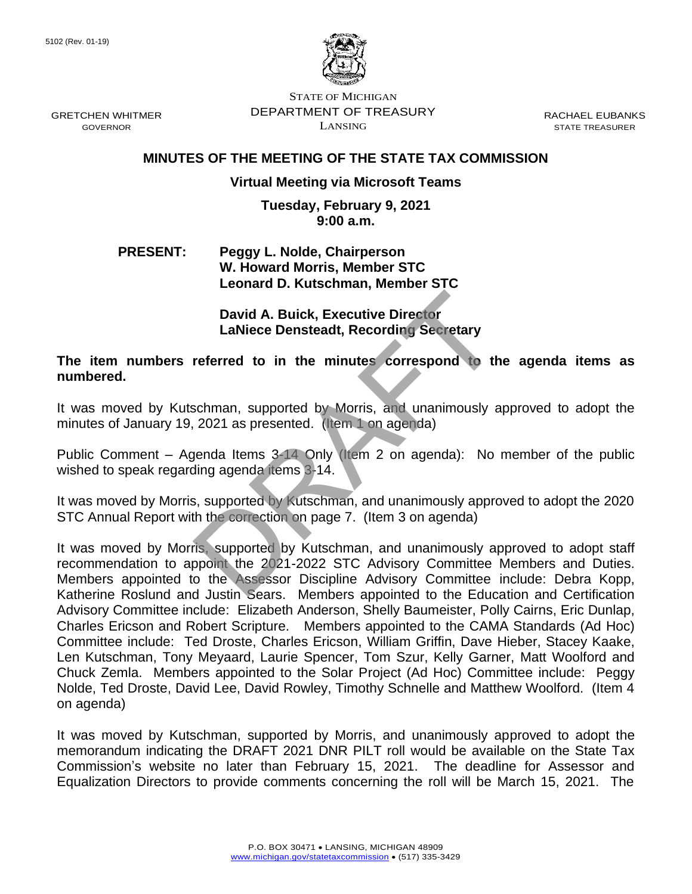

STATE OF MICHIGAN DEPARTMENT OF TREASURY LANSING

RACHAEL EUBANKS STATE TREASURER

# **MINUTES OF THE MEETING OF THE STATE TAX COMMISSION**

## **Virtual Meeting via Microsoft Teams**

#### **Tuesday, February 9, 2021 9:00 a.m.**

## **PRESENT: Peggy L. Nolde, Chairperson W. Howard Morris, Member STC Leonard D. Kutschman, Member STC**

**David A. Buick, Executive Director LaNiece Densteadt, Recording Secretary**

**The item numbers referred to in the minutes correspond to the agenda items as numbered.**

It was moved by Kutschman, supported by Morris, and unanimously approved to adopt the minutes of January 19, 2021 as presented. (Item 1 on agenda)

Public Comment – Agenda Items 3-14 Only (Item 2 on agenda): No member of the public wished to speak regarding agenda items 3-14.

It was moved by Morris, supported by Kutschman, and unanimously approved to adopt the 2020 STC Annual Report with the correction on page 7. (Item 3 on agenda)

It was moved by Morris, supported by Kutschman, and unanimously approved to adopt staff recommendation to appoint the 2021-2022 STC Advisory Committee Members and Duties. Members appointed to the Assessor Discipline Advisory Committee include: Debra Kopp, Katherine Roslund and Justin Sears. Members appointed to the Education and Certification Advisory Committee include: Elizabeth Anderson, Shelly Baumeister, Polly Cairns, Eric Dunlap, Charles Ericson and Robert Scripture. Members appointed to the CAMA Standards (Ad Hoc) Committee include: Ted Droste, Charles Ericson, William Griffin, Dave Hieber, Stacey Kaake, Len Kutschman, Tony Meyaard, Laurie Spencer, Tom Szur, Kelly Garner, Matt Woolford and Chuck Zemla. Members appointed to the Solar Project (Ad Hoc) Committee include: Peggy Nolde, Ted Droste, David Lee, David Rowley, Timothy Schnelle and Matthew Woolford. (Item 4 on agenda) David A. Buick, Executive Director<br>
LaNiece Densteadt, Recording Secretary<br>
referred to in the minutes correspond to the<br>
schman, supported by Morris, and unanimously a<br>
2021 as presented. (Item 1 on agenda)<br>
yenda Items 3

It was moved by Kutschman, supported by Morris, and unanimously approved to adopt the memorandum indicating the DRAFT 2021 DNR PILT roll would be available on the State Tax Commission's website no later than February 15, 2021. The deadline for Assessor and Equalization Directors to provide comments concerning the roll will be March 15, 2021. The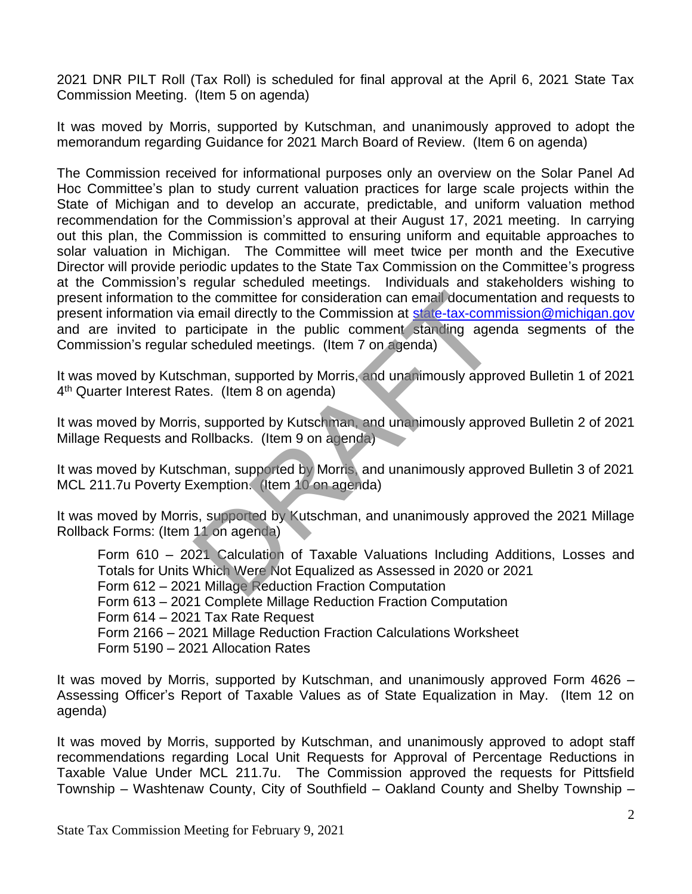2021 DNR PILT Roll (Tax Roll) is scheduled for final approval at the April 6, 2021 State Tax Commission Meeting. (Item 5 on agenda)

It was moved by Morris, supported by Kutschman, and unanimously approved to adopt the memorandum regarding Guidance for 2021 March Board of Review. (Item 6 on agenda)

The Commission received for informational purposes only an overview on the Solar Panel Ad Hoc Committee's plan to study current valuation practices for large scale projects within the State of Michigan and to develop an accurate, predictable, and uniform valuation method recommendation for the Commission's approval at their August 17, 2021 meeting. In carrying out this plan, the Commission is committed to ensuring uniform and equitable approaches to solar valuation in Michigan. The Committee will meet twice per month and the Executive Director will provide periodic updates to the State Tax Commission on the Committee's progress at the Commission's regular scheduled meetings. Individuals and stakeholders wishing to present information to the committee for consideration can email documentation and requests to present information via email directly to the Commission at [state-tax-commission@michigan.gov](mailto:state-tax-commission@michigan.gov) and are invited to participate in the public comment standing agenda segments of the Commission's regular scheduled meetings. (Item 7 on agenda) the committee for consideration can email documer<br>
email directly to the Commission at state-tax-comm<br>
articipate in the public comment standing ager<br>
scheduled meetings. (Item 7 on agenda)<br>
hman, supported by Morris, and

It was moved by Kutschman, supported by Morris, and unanimously approved Bulletin 1 of 2021 4<sup>th</sup> Quarter Interest Rates. (Item 8 on agenda)

It was moved by Morris, supported by Kutschman, and unanimously approved Bulletin 2 of 2021 Millage Requests and Rollbacks. (Item 9 on agenda)

It was moved by Kutschman, supported by Morris, and unanimously approved Bulletin 3 of 2021 MCL 211.7u Poverty Exemption. (Item 10 on agenda)

It was moved by Morris, supported by Kutschman, and unanimously approved the 2021 Millage Rollback Forms: (Item 11 on agenda)

Form 610 – 2021 Calculation of Taxable Valuations Including Additions, Losses and Totals for Units Which Were Not Equalized as Assessed in 2020 or 2021 Form 612 – 2021 Millage Reduction Fraction Computation Form 613 – 2021 Complete Millage Reduction Fraction Computation Form 614 – 2021 Tax Rate Request Form 2166 – 2021 Millage Reduction Fraction Calculations Worksheet Form 5190 – 2021 Allocation Rates

It was moved by Morris, supported by Kutschman, and unanimously approved Form 4626 – Assessing Officer's Report of Taxable Values as of State Equalization in May. (Item 12 on agenda)

It was moved by Morris, supported by Kutschman, and unanimously approved to adopt staff recommendations regarding Local Unit Requests for Approval of Percentage Reductions in Taxable Value Under MCL 211.7u. The Commission approved the requests for Pittsfield Township – Washtenaw County, City of Southfield – Oakland County and Shelby Township –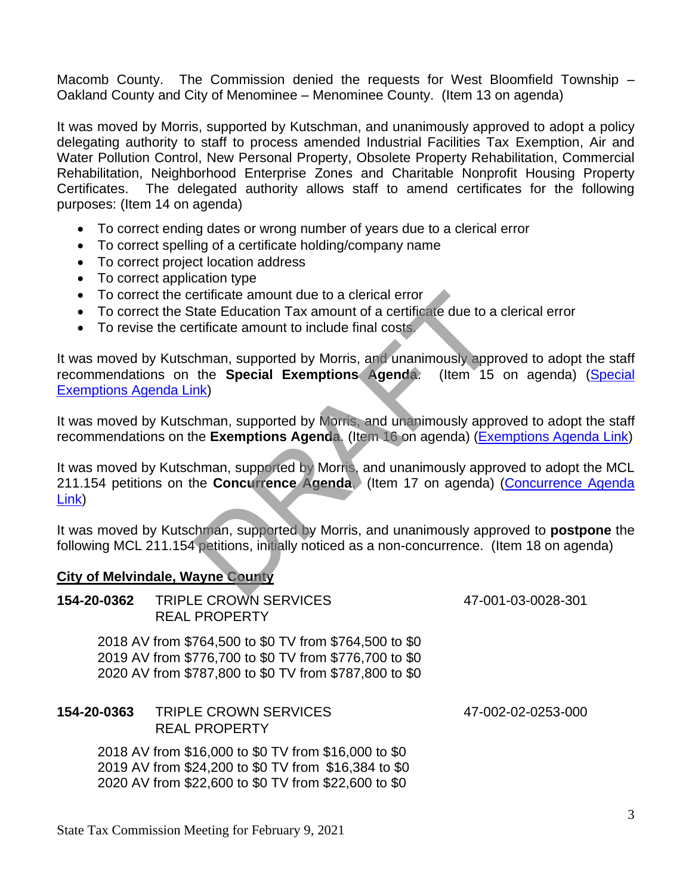Macomb County. The Commission denied the requests for West Bloomfield Township – Oakland County and City of Menominee – Menominee County. (Item 13 on agenda)

It was moved by Morris, supported by Kutschman, and unanimously approved to adopt a policy delegating authority to staff to process amended Industrial Facilities Tax Exemption, Air and Water Pollution Control, New Personal Property, Obsolete Property Rehabilitation, Commercial Rehabilitation, Neighborhood Enterprise Zones and Charitable Nonprofit Housing Property Certificates. The delegated authority allows staff to amend certificates for the following purposes: (Item 14 on agenda)

- To correct ending dates or wrong number of years due to a clerical error
- To correct spelling of a certificate holding/company name
- To correct project location address
- To correct application type
- To correct the certificate amount due to a clerical error
- To correct the State Education Tax amount of a certificate due to a clerical error
- To revise the certificate amount to include final costs.

It was moved by Kutschman, supported by Morris, and unanimously approved to adopt the staff recommendations on the **Special Exemptions Agenda**. (Item 15 on agenda) [\(Special](https://www.michigan.gov/documents/treasury/15_Exemptions_Special_Items_Agenda_715098_7.pdf)  [Exemptions Agenda Link\)](https://www.michigan.gov/documents/treasury/15_Exemptions_Special_Items_Agenda_715098_7.pdf) ertificate amount due to a clerical error<br>tate Education Tax amount of a certificate due to a<br>trificate amount to include final costs<br>thman, supported by Morris, and unanimously appre<br>the **Special Exemptions Agenda**. (Item

It was moved by Kutschman, supported by Morris, and unanimously approved to adopt the staff recommendations on the **Exemptions Agenda**. (Item 16 on agenda) [\(Exemptions Agenda Link\)](https://www.michigan.gov/documents/treasury/16_Exemptions_Agenda_715102_7.pdf)

It was moved by Kutschman, supported by Morris, and unanimously approved to adopt the MCL 211.154 petitions on the **Concurrence Agenda**. (Item 17 on agenda) [\(Concurrence Agenda](https://www.michigan.gov/documents/treasury/17_Concurrence_Agenda_715103_7.pdf)  [Link\)](https://www.michigan.gov/documents/treasury/17_Concurrence_Agenda_715103_7.pdf)

It was moved by Kutschman, supported by Morris, and unanimously approved to **postpone** the following MCL 211.154 petitions, initially noticed as a non-concurrence. (Item 18 on agenda)

## **City of Melvindale, Wayne County**

| 154-20-0362 | <b>TRIPLE CROWN SERVICES</b><br><b>REAL PROPERTY</b>                                                                                                                       | 47-001-03-0028-301 |
|-------------|----------------------------------------------------------------------------------------------------------------------------------------------------------------------------|--------------------|
|             | 2018 AV from \$764,500 to \$0 TV from \$764,500 to \$0<br>2019 AV from \$776,700 to \$0 TV from \$776,700 to \$0<br>2020 AV from \$787,800 to \$0 TV from \$787,800 to \$0 |                    |
| 154-20-0363 | TRIPLE CROWN SERVICES<br><b>REAL PROPERTY</b>                                                                                                                              | 47-002-02-0253-000 |
|             | 2018 AV from \$16,000 to \$0 TV from \$16,000 to \$0<br>2019 AV from \$24,200 to \$0 TV from \$16,384 to \$0<br>2020 AV from \$22,600 to \$0 TV from \$22,600 to \$0       |                    |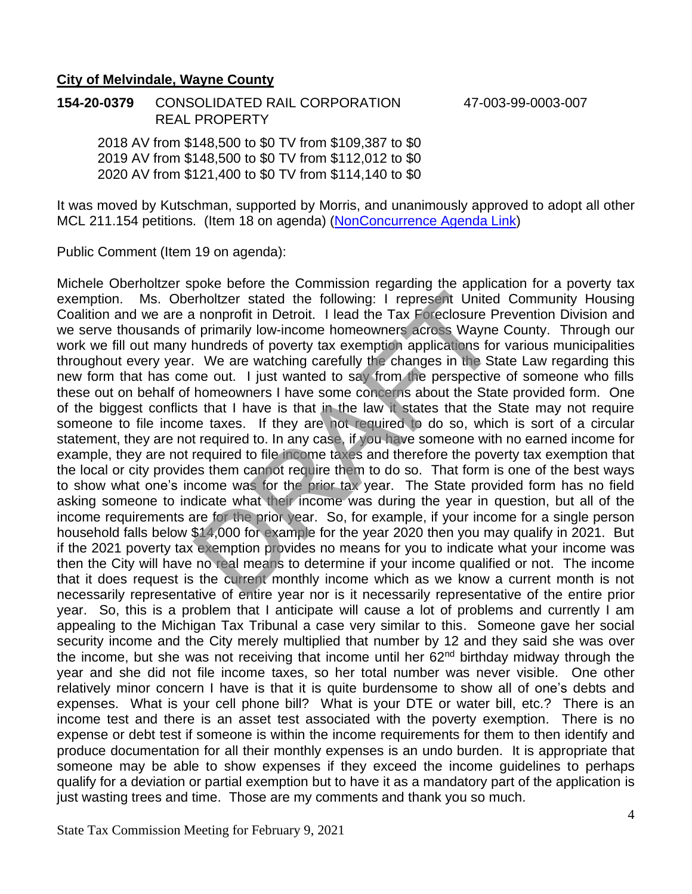#### **City of Melvindale, Wayne County**

**154-20-0379** CONSOLIDATED RAIL CORPORATION 47-003-99-0003-007 REAL PROPERTY

2018 AV from \$148,500 to \$0 TV from \$109,387 to \$0 2019 AV from \$148,500 to \$0 TV from \$112,012 to \$0 2020 AV from \$121,400 to \$0 TV from \$114,140 to \$0

It was moved by Kutschman, supported by Morris, and unanimously approved to adopt all other MCL 211.154 petitions. (Item 18 on agenda) [\(NonConcurrence Agenda Link\)](https://www.michigan.gov/documents/treasury/Agenda_-_NonConcurrence_for_Minutes_717594_7.pdf)

Public Comment (Item 19 on agenda):

Michele Oberholtzer spoke before the Commission regarding the application for a poverty tax exemption. Ms. Oberholtzer stated the following: I represent United Community Housing Coalition and we are a nonprofit in Detroit. I lead the Tax Foreclosure Prevention Division and we serve thousands of primarily low-income homeowners across Wayne County. Through our work we fill out many hundreds of poverty tax exemption applications for various municipalities throughout every year. We are watching carefully the changes in the State Law regarding this new form that has come out. I just wanted to say from the perspective of someone who fills these out on behalf of homeowners I have some concerns about the State provided form. One of the biggest conflicts that I have is that in the law it states that the State may not require someone to file income taxes. If they are not required to do so, which is sort of a circular statement, they are not required to. In any case, if you have someone with no earned income for example, they are not required to file income taxes and therefore the poverty tax exemption that the local or city provides them cannot require them to do so. That form is one of the best ways to show what one's income was for the prior tax year. The State provided form has no field asking someone to indicate what their income was during the year in question, but all of the income requirements are for the prior year. So, for example, if your income for a single person household falls below \$14,000 for example for the year 2020 then you may qualify in 2021. But if the 2021 poverty tax exemption provides no means for you to indicate what your income was then the City will have no real means to determine if your income qualified or not. The income that it does request is the current monthly income which as we know a current month is not necessarily representative of entire year nor is it necessarily representative of the entire prior year. So, this is a problem that I anticipate will cause a lot of problems and currently I am appealing to the Michigan Tax Tribunal a case very similar to this. Someone gave her social security income and the City merely multiplied that number by 12 and they said she was over the income, but she was not receiving that income until her  $62<sup>nd</sup>$  birthday midway through the year and she did not file income taxes, so her total number was never visible. One other relatively minor concern I have is that it is quite burdensome to show all of one's debts and expenses. What is your cell phone bill? What is your DTE or water bill, etc.? There is an income test and there is an asset test associated with the poverty exemption. There is no expense or debt test if someone is within the income requirements for them to then identify and produce documentation for all their monthly expenses is an undo burden. It is appropriate that someone may be able to show expenses if they exceed the income guidelines to perhaps qualify for a deviation or partial exemption but to have it as a mandatory part of the application is just wasting trees and time. Those are my comments and thank you so much. infinitive at the following: I represent United<br>In a nonprofit in Detroit. I lead the Tax Foreclosure P<br>f primarily low-income homeowners across Wayne<br>hundreds of poverty tax exemption applications for<br>. We are watching ca